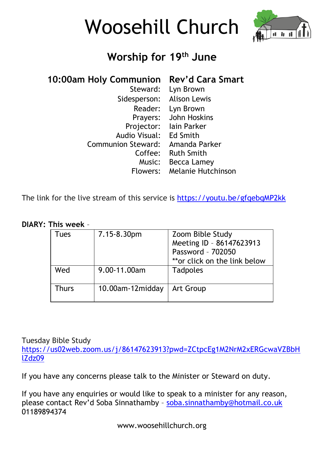



# **Worship for 19 th June**

## **10:00am Holy Communion Rev'd Cara Smart**

| Steward:                  | Lyn Brown           |
|---------------------------|---------------------|
| Sidesperson:              | <b>Alison Lewis</b> |
| Reader:                   | Lyn Brown           |
| Prayers:                  | John Hoskins        |
| Projector:                | lain Parker         |
| Audio Visual:             | Ed Smith            |
| <b>Communion Steward:</b> | Amanda Parker       |
| Coffee:                   | <b>Ruth Smith</b>   |
| Music:                    | Becca Lamey         |
| Flowers:                  | Melanie Hutchinson  |

The link for the live stream of this service is <https://youtu.be/gfqebqMP2kk>

#### **DIARY: This week** –

| Tues  | 7.15-8.30pm      | Zoom Bible Study<br>Meeting ID - 86147623913<br>Password - 702050<br>**or click on the link below |
|-------|------------------|---------------------------------------------------------------------------------------------------|
| Wed   | 9.00-11.00am     | Tadpoles                                                                                          |
| Thurs | 10.00am-12midday | Art Group                                                                                         |

Tuesday Bible Study

[https://us02web.zoom.us/j/86147623913?pwd=ZCtpcEg1M2NrM2xERGcwaVZBbH](https://us02web.zoom.us/j/86147623913?pwd=ZCtpcEg1M2NrM2xERGcwaVZBbHlZdz09) [lZdz09](https://us02web.zoom.us/j/86147623913?pwd=ZCtpcEg1M2NrM2xERGcwaVZBbHlZdz09)

If you have any concerns please talk to the Minister or Steward on duty.

If you have any enquiries or would like to speak to a minister for any reason, please contact Rev'd Soba Sinnathamby – [soba.sinnathamby@hotmail.co.uk](mailto:soba.sinnathamby@hotmail.co.uk) 01189894374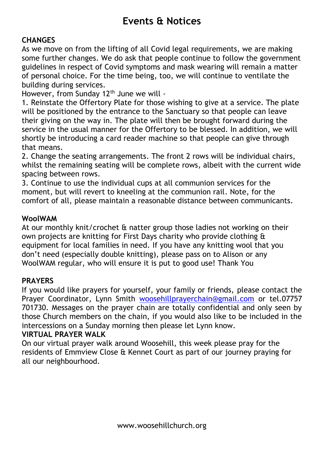## **Events & Notices**

### **CHANGES**

As we move on from the lifting of all Covid legal requirements, we are making some further changes. We do ask that people continue to follow the government guidelines in respect of Covid symptoms and mask wearing will remain a matter of personal choice. For the time being, too, we will continue to ventilate the building during services.

However, from Sunday 12<sup>th</sup> June we will -

1. Reinstate the Offertory Plate for those wishing to give at a service. The plate will be positioned by the entrance to the Sanctuary so that people can leave their giving on the way in. The plate will then be brought forward during the service in the usual manner for the Offertory to be blessed. In addition, we will shortly be introducing a card reader machine so that people can give through that means.

2. Change the seating arrangements. The front 2 rows will be individual chairs, whilst the remaining seating will be complete rows, albeit with the current wide spacing between rows.

3. Continue to use the individual cups at all communion services for the moment, but will revert to kneeling at the communion rail. Note, for the comfort of all, please maintain a reasonable distance between communicants.

### **WoolWAM**

At our monthly knit/crochet & natter group those ladies not working on their own projects are knitting for First Days charity who provide clothing & equipment for local families in need. If you have any knitting wool that you don't need (especially double knitting), please pass on to Alison or any WoolWAM regular, who will ensure it is put to good use! Thank You

### **PRAYERS**

If you would like prayers for yourself, your family or friends, please contact the Prayer Coordinator, Lynn Smith [woosehillprayerchain@gmail.com](mailto:woosehillprayerchain@gmail.com) or tel.07757 701730. Messages on the prayer chain are totally confidential and only seen by those Church members on the chain, if you would also like to be included in the intercessions on a Sunday morning then please let Lynn know.

#### **VIRTUAL PRAYER WALK**

On our virtual prayer walk around Woosehill, this week please pray for the residents of Emmview Close & Kennet Court as part of our journey praying for all our neighbourhood.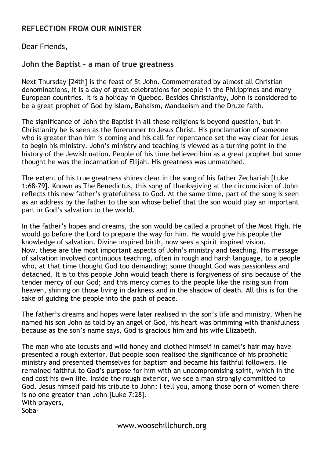#### **REFLECTION FROM OUR MINISTER**

#### Dear Friends,

#### **John the Baptist – a man of true greatness**

Next Thursday [24th] is the feast of St John. Commemorated by almost all Christian denominations, it is a day of great celebrations for people in the Philippines and many European countries. It is a holiday in Quebec. Besides Christianity, John is considered to be a great prophet of God by Islam, Bahaism, Mandaeism and the Druze faith.

The significance of John the Baptist in all these religions is beyond question, but in Christianity he is seen as the forerunner to Jesus Christ. His proclamation of someone who is greater than him is coming and his call for repentance set the way clear for Jesus to begin his ministry. John's ministry and teaching is viewed as a turning point in the history of the Jewish nation. People of his time believed him as a great prophet but some thought he was the incarnation of Elijah. His greatness was unmatched.

The extent of his true greatness shines clear in the song of his father Zechariah [Luke 1:68-79]. Known as The Benedictus, this song of thanksgiving at the circumcision of John reflects this new father's gratefulness to God. At the same time, part of the song is seen as an address by the father to the son whose belief that the son would play an important part in God's salvation to the world.

In the father's hopes and dreams, the son would be called a prophet of the Most High. He would go before the Lord to prepare the way for him. He would give his people the knowledge of salvation. Divine inspired birth, now sees a spirit inspired vision. Now, these are the most important aspects of John's ministry and teaching. His message of salvation involved continuous teaching, often in rough and harsh language, to a people who, at that time thought God too demanding; some thought God was passionless and detached. It is to this people John would teach there is forgiveness of sins because of the tender mercy of our God; and this mercy comes to the people like the rising sun from heaven, shining on those living in darkness and in the shadow of death. All this is for the sake of guiding the people into the path of peace.

The father's dreams and hopes were later realised in the son's life and ministry. When he named his son John as told by an angel of God, his heart was brimming with thankfulness because as the son's name says, God is gracious him and his wife Elizabeth.

The man who ate locusts and wild honey and clothed himself in camel's hair may have presented a rough exterior. But people soon realised the significance of his prophetic ministry and presented themselves for baptism and became his faithful followers. He remained faithful to God's purpose for him with an uncompromising spirit, which in the end cost his own life. Inside the rough exterior, we see a man strongly committed to God. Jesus himself paid his tribute to John: I tell you, among those born of women there is no one greater than John [Luke 7:28]. With prayers, Soba-